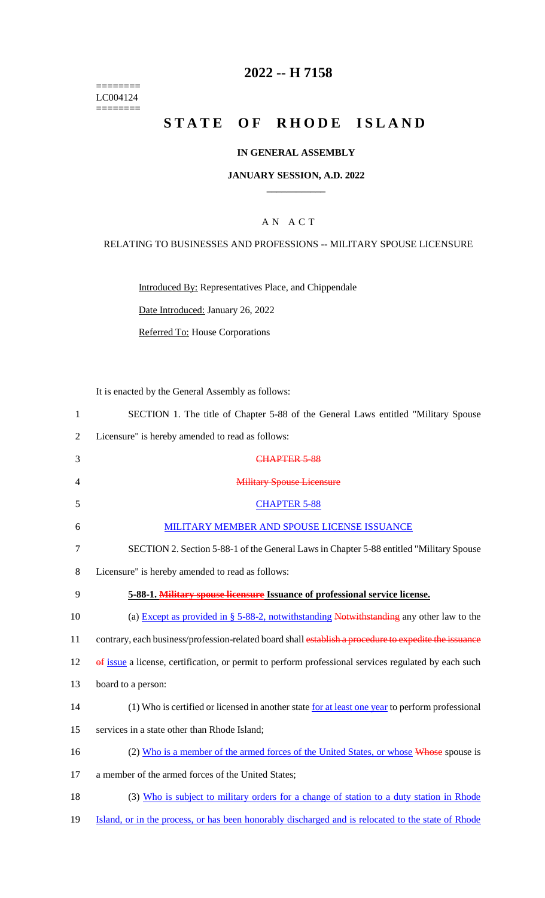======== LC004124  $=$ 

## **2022 -- H 7158**

# **STATE OF RHODE ISLAND**

### **IN GENERAL ASSEMBLY**

#### **JANUARY SESSION, A.D. 2022 \_\_\_\_\_\_\_\_\_\_\_\_**

## A N A C T

#### RELATING TO BUSINESSES AND PROFESSIONS -- MILITARY SPOUSE LICENSURE

Introduced By: Representatives Place, and Chippendale

Date Introduced: January 26, 2022

Referred To: House Corporations

It is enacted by the General Assembly as follows:

| $\mathbf{1}$   | SECTION 1. The title of Chapter 5-88 of the General Laws entitled "Military Spouse                    |
|----------------|-------------------------------------------------------------------------------------------------------|
| $\overline{2}$ | Licensure" is hereby amended to read as follows:                                                      |
| 3              | CHAPTER 5-88                                                                                          |
| 4              | <b>Military Spouse Licensure</b>                                                                      |
| 5              | <b>CHAPTER 5-88</b>                                                                                   |
| 6              | MILITARY MEMBER AND SPOUSE LICENSE ISSUANCE                                                           |
| 7              | SECTION 2. Section 5-88-1 of the General Laws in Chapter 5-88 entitled "Military Spouse"              |
| 8              | Licensure" is hereby amended to read as follows:                                                      |
| 9              | 5-88-1. Military spouse licensure Issuance of professional service license.                           |
| 10             | (a) Except as provided in $\S$ 5-88-2, notwithstanding Notwithstanding any other law to the           |
| 11             | contrary, each business/profession-related board shall establish a procedure to expedite the issuance |
| 12             | of issue a license, certification, or permit to perform professional services regulated by each such  |
| 13             | board to a person:                                                                                    |
| 14             | (1) Who is certified or licensed in another state for at least one year to perform professional       |
| 15             | services in a state other than Rhode Island;                                                          |
| 16             | (2) Who is a member of the armed forces of the United States, or whose Whose spouse is                |
| 17             | a member of the armed forces of the United States;                                                    |
| 18             | (3) Who is subject to military orders for a change of station to a duty station in Rhode              |
| 19             | Island, or in the process, or has been honorably discharged and is relocated to the state of Rhode    |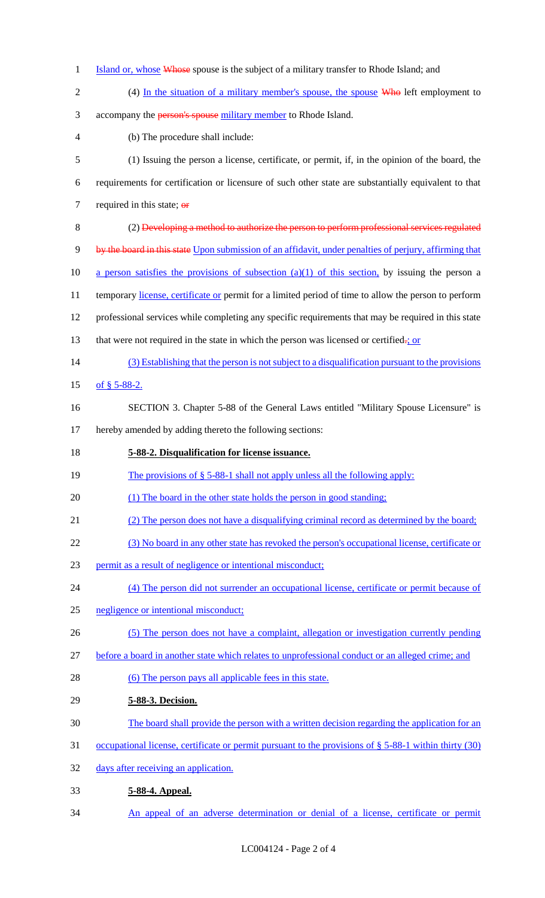- 1 Island or, whose Whose spouse is the subject of a military transfer to Rhode Island; and
- 2 (4) In the situation of a military member's spouse, the spouse Who left employment to 3 accompany the person's spouse military member to Rhode Island. (b) The procedure shall include: (1) Issuing the person a license, certificate, or permit, if, in the opinion of the board, the requirements for certification or licensure of such other state are substantially equivalent to that 7 required in this state;  $\theta$ **F**  (2) Developing a method to authorize the person to perform professional services regulated by the board in this state Upon submission of an affidavit, under penalties of perjury, affirming that 10 a person satisfies the provisions of subsection  $(a)(1)$  of this section, by issuing the person a 11 temporary license, certificate or permit for a limited period of time to allow the person to perform professional services while completing any specific requirements that may be required in this state 13 that were not required in the state in which the person was licensed or certified.; or (3) Establishing that the person is not subject to a disqualification pursuant to the provisions of § 5-88-2. SECTION 3. Chapter 5-88 of the General Laws entitled "Military Spouse Licensure" is hereby amended by adding thereto the following sections: **5-88-2. Disqualification for license issuance.**  19 The provisions of § 5-88-1 shall not apply unless all the following apply: 20 (1) The board in the other state holds the person in good standing; (2) The person does not have a disqualifying criminal record as determined by the board; (3) No board in any other state has revoked the person's occupational license, certificate or permit as a result of negligence or intentional misconduct; (4) The person did not surrender an occupational license, certificate or permit because of negligence or intentional misconduct; (5) The person does not have a complaint, allegation or investigation currently pending before a board in another state which relates to unprofessional conduct or an alleged crime; and 28 (6) The person pays all applicable fees in this state. **5-88-3. Decision.**  The board shall provide the person with a written decision regarding the application for an occupational license, certificate or permit pursuant to the provisions of § 5-88-1 within thirty (30) days after receiving an application. **5-88-4. Appeal.**
- An appeal of an adverse determination or denial of a license, certificate or permit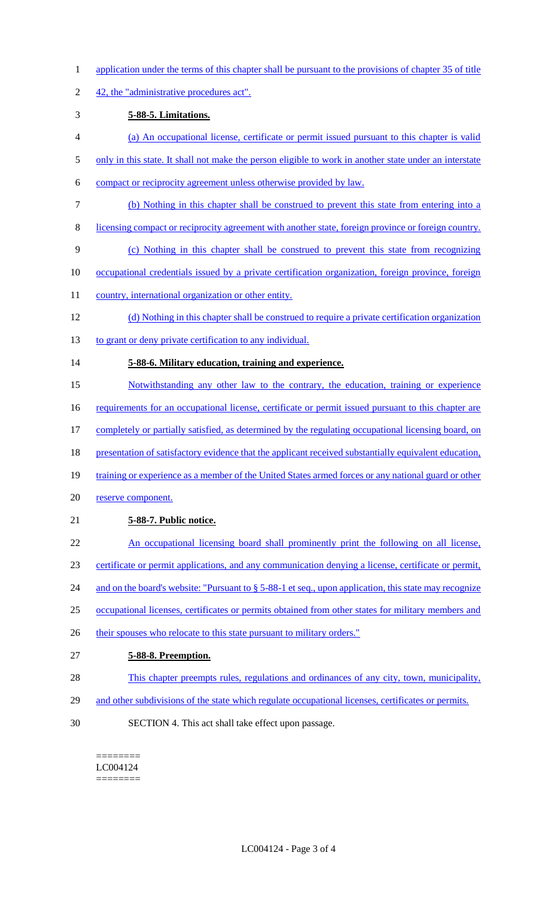- 1 application under the terms of this chapter shall be pursuant to the provisions of chapter 35 of title
- 2 42, the "administrative procedures act".

## 3 **5-88-5. Limitations.**

- 4 (a) An occupational license, certificate or permit issued pursuant to this chapter is valid
- 5 only in this state. It shall not make the person eligible to work in another state under an interstate
- 6 compact or reciprocity agreement unless otherwise provided by law.
- 7 (b) Nothing in this chapter shall be construed to prevent this state from entering into a
- 8 licensing compact or reciprocity agreement with another state, foreign province or foreign country.
- 9 (c) Nothing in this chapter shall be construed to prevent this state from recognizing
- 10 occupational credentials issued by a private certification organization, foreign province, foreign
- 11 country, international organization or other entity.
- 12 (d) Nothing in this chapter shall be construed to require a private certification organization
- 13 to grant or deny private certification to any individual.

# 14 **5-88-6. Military education, training and experience.**

- 15 Notwithstanding any other law to the contrary, the education, training or experience
- 16 requirements for an occupational license, certificate or permit issued pursuant to this chapter are
- 17 completely or partially satisfied, as determined by the regulating occupational licensing board, on
- 18 presentation of satisfactory evidence that the applicant received substantially equivalent education,
- 19 training or experience as a member of the United States armed forces or any national guard or other
- 20 reserve component.

# 21 **5-88-7. Public notice.**

- 22 An occupational licensing board shall prominently print the following on all license,
- 23 certificate or permit applications, and any communication denying a license, certificate or permit,
- 24 and on the board's website: "Pursuant to § 5-88-1 et seq., upon application, this state may recognize
- 25 occupational licenses, certificates or permits obtained from other states for military members and
- 26 their spouses who relocate to this state pursuant to military orders."
- 27 **5-88-8. Preemption.**
- 28 This chapter preempts rules, regulations and ordinances of any city, town, municipality,
- 29 and other subdivisions of the state which regulate occupational licenses, certificates or permits.
- 30 SECTION 4. This act shall take effect upon passage.

======== LC004124 ========